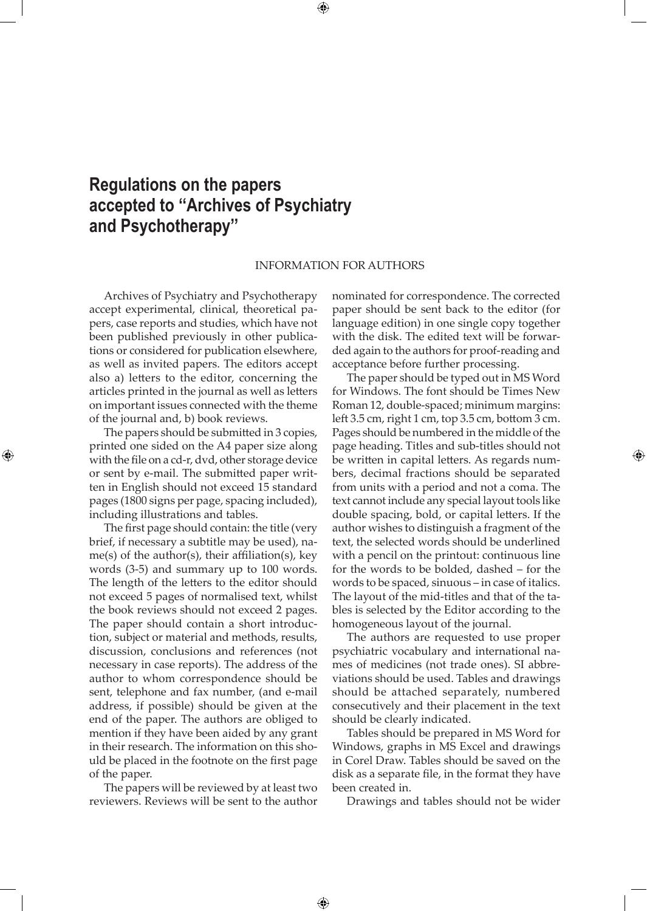## **Regulations on the papers accepted to ''Archives of Psychiatry and Psychotherapy''**

## INFORMATION FOR AUTHORS

⊕

Archives of Psychiatry and Psychotherapy accept experimental, clinical, theoretical papers, case reports and studies, which have not been published previously in other publications or considered for publication elsewhere, as well as invited papers. The editors accept also a) letters to the editor, concerning the articles printed in the journal as well as letters on important issues connected with the theme of the journal and, b) book reviews.

The papers should be submitted in 3 copies, printed one sided on the A4 paper size along with the file on a cd-r, dvd, other storage device or sent by e-mail. The submitted paper written in English should not exceed 15 standard pages (1800 signs per page, spacing included), including illustrations and tables.

⊕

The first page should contain: the title (very brief, if necessary a subtitle may be used), name(s) of the author(s), their affiliation(s), key words (3-5) and summary up to 100 words. The length of the letters to the editor should not exceed 5 pages of normalised text, whilst the book reviews should not exceed 2 pages. The paper should contain a short introduction, subject or material and methods, results, discussion, conclusions and references (not necessary in case reports). The address of the author to whom correspondence should be sent, telephone and fax number, (and e-mail address, if possible) should be given at the end of the paper. The authors are obliged to mention if they have been aided by any grant in their research. The information on this should be placed in the footnote on the first page of the paper.

The papers will be reviewed by at least two reviewers. Reviews will be sent to the author

 $\bigoplus$ 

nominated for correspondence. The corrected paper should be sent back to the editor (for language edition) in one single copy together with the disk. The edited text will be forwarded again to the authors for proof-reading and acceptance before further processing.

The paper should be typed out in MS Word for Windows. The font should be Times New Roman 12, double-spaced; minimum margins: left 3.5 cm, right 1 cm, top 3.5 cm, bottom 3 cm. Pages should be numbered in the middle of the page heading. Titles and sub-titles should not be written in capital letters. As regards numbers, decimal fractions should be separated from units with a period and not a coma. The text cannot include any special layout tools like double spacing, bold, or capital letters. If the author wishes to distinguish a fragment of the text, the selected words should be underlined with a pencil on the printout: continuous line for the words to be bolded, dashed – for the words to be spaced, sinuous – in case of italics. The layout of the mid-titles and that of the tables is selected by the Editor according to the homogeneous layout of the journal.

⊕

The authors are requested to use proper psychiatric vocabulary and international names of medicines (not trade ones). SI abbreviations should be used. Tables and drawings should be attached separately, numbered consecutively and their placement in the text should be clearly indicated.

Tables should be prepared in MS Word for Windows, graphs in MS Excel and drawings in Corel Draw. Tables should be saved on the disk as a separate file, in the format they have been created in.

Drawings and tables should not be wider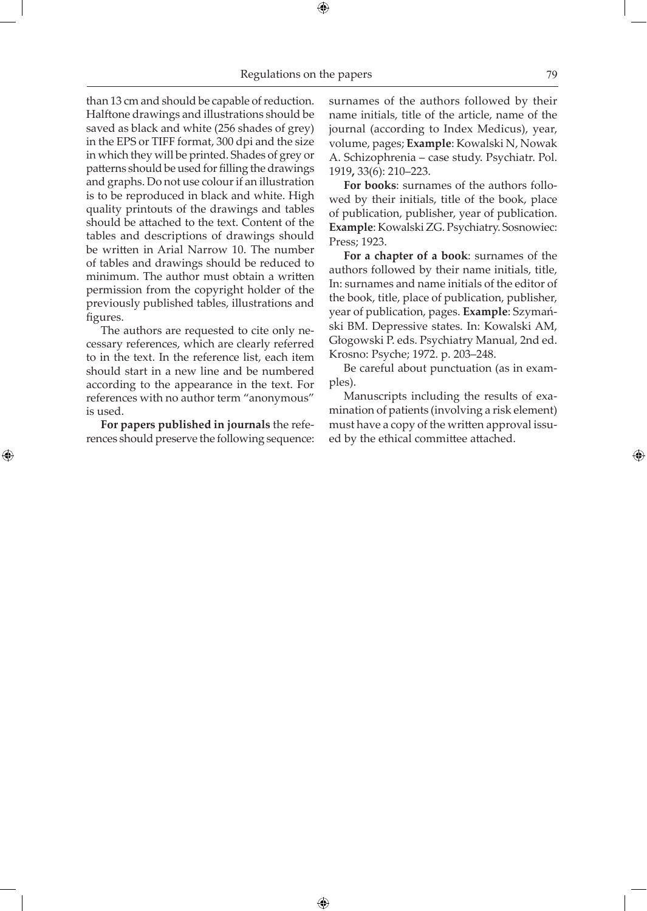## Regulations on the papers 79

 $\textcolor{red}{\textcircled{\footnotesize{+}}}$ 

 $\bigoplus$ 

than 13 cm and should be capable of reduction. Halftone drawings and illustrations should be saved as black and white (256 shades of grey) in the EPS or TIFF format, 300 dpi and the size in which they will be printed. Shades of grey or patterns should be used for filling the drawings and graphs. Do not use colour if an illustration is to be reproduced in black and white. High quality printouts of the drawings and tables should be attached to the text. Content of the tables and descriptions of drawings should be written in Arial Narrow 10. The number of tables and drawings should be reduced to minimum. The author must obtain a written permission from the copyright holder of the previously published tables, illustrations and figures.

The authors are requested to cite only necessary references, which are clearly referred to in the text. In the reference list, each item should start in a new line and be numbered according to the appearance in the text. For references with no author term "anonymous" is used.

**For papers published in journals** the references should preserve the following sequence:

⊕

surnames of the authors followed by their name initials, title of the article, name of the journal (according to Index Medicus), year, volume, pages; **Example**: Kowalski N, Nowak A. Schizophrenia – case study. Psychiatr. Pol. 1919**,** 33(6): 210–223.

**For books**: surnames of the authors followed by their initials, title of the book, place of publication, publisher, year of publication. **Example**: Kowalski ZG. Psychiatry. Sosnowiec: Press; 1923.

**For a chapter of a book**: surnames of the authors followed by their name initials, title, In: surnames and name initials of the editor of the book, title, place of publication, publisher, year of publication, pages. **Example**: Szymański BM. Depressive states. In: Kowalski AM, Głogowski P. eds. Psychiatry Manual, 2nd ed. Krosno: Psyche; 1972. p. 203–248.

Be careful about punctuation (as in examples).

Manuscripts including the results of examination of patients (involving a risk element) must have a copy of the written approval issued by the ethical committee attached.

⊕